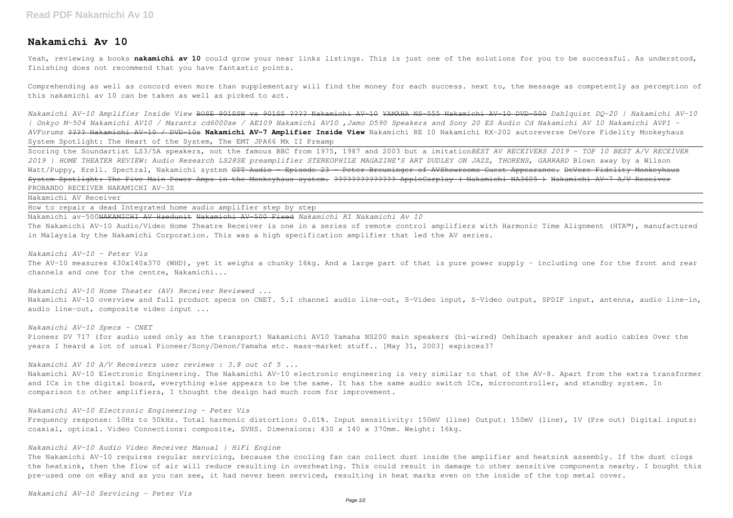# **Nakamichi Av 10**

Yeah, reviewing a books **nakamichi av 10** could grow your near links listings. This is just one of the solutions for you to be successful. As understood, finishing does not recommend that you have fantastic points.

Comprehending as well as concord even more than supplementary will find the money for each success. next to, the message as competently as perception of this nakamichi av 10 can be taken as well as picked to act.

*Nakamichi AV-10 Amplifier Inside View* BOSE 901SSW vs 901SS ???? Nakamichi AV-10 YAMAHA NS-555 Nakamichi AV-10 DVD-500 *Dahlquist DQ-20 | Nakamichi AV-10 | Onkyo M-504 Nakamichi AV10 / Marantz cd6000se / AE109 Nakamichi AV10 ,Jamo D590 Speakers and Sony 20 ES Audio Cd Nakamichi AV 10 Nakamichi AVP1 - AVForums* ???? Nakamichi AV-10 / DVD-10s **Nakamichi AV-7 Amplifier Inside View** Nakamichi RE 10 Nakamichi RX-202 autoreverse DeVore Fidelity Monkeyhaus System Spotlight: The Heart of the System, The EMT JPA66 Mk II Preamp

Scoring the Soundartist LS3/5A speakers, not the famous BBC from 1975, 1987 and 2003 but a imitation*BEST AV RECEIVERS 2019 - TOP 10 BEST A/V RECEIVER 2019 | HOME THEATER REVIEW: Audio Research LS28SE preamplifier STEREOPHILE MAGAZINE'S ART DUDLEY ON JAZZ, THORENS, GARRARD* Blown away by a Wilson Watt/Puppy, Krell. Spectral, Nakamichi system <del>GTT Audio - Episode 23 - Peter Breuninger of AVShowrooms Guest Appearance. DeVore Fidelity Monkeyhaus</del> System Spotlight: The Five Main Power Amps in the Monkeyhaus system. ???????????????? AppleCarplay ( Nakamichi NA3605 ) Nakamichi AV 7 A/V Receiver PROBANDO RECEIVER NAKAMICHI AV-3S

Nakamichi AV Receiver

How to repair a dead Integrated home audio amplifier step by step

Nakamichi av-500NAKAMICHI AV Haedunit Nakamichi AV-500 Fixed *Nakamichi R1 Nakamichi Av 10*

The Nakamichi AV-10 Audio/Video Home Theatre Receiver is one in a series of remote control amplifiers with Harmonic Time Alignment (HTA™), manufactured in Malaysia by the Nakamichi Corporation. This was a high specification amplifier that led the AV series.

The Nakamichi AV-10 requires regular servicing, because the cooling fan can collect dust inside the amplifier and heatsink assembly. If the dust clogs the heatsink, then the flow of air will reduce resulting in overheating. This could result in damage to other sensitive components nearby. I bought this pre-used one on eBay and as you can see, it had never been serviced, resulting in heat marks even on the inside of the top metal cover.

*Nakamichi AV-10 - Peter Vis* The AV-10 measures 430x140x370 (WHD), yet it weighs a chunky 16kg. And a large part of that is pure power supply - including one for the front and rear channels and one for the centre, Nakamichi...

*Nakamichi AV-10 Home Theater (AV) Receiver Reviewed ...* Nakamichi AV-10 overview and full product specs on CNET. 5.1 channel audio line-out, S-Video input, S-Video output, SPDIF input, antenna, audio line-in, audio line-out, composite video input ...

# *Nakamichi AV-10 Specs - CNET*

Pioneer DV 717 (for audio used only as the transport) Nakamichi AV10 Yamaha NS200 main speakers (bi-wired) Oehlbach speaker and audio cables Over the years I heard a lot of usual Pioneer/Sony/Denon/Yamaha etc. mass-market stuff.. [May 31, 2003] expisces37

*Nakamichi AV 10 A/V Receivers user reviews : 3.8 out of 5 ...*

Nakamichi AV-10 Electronic Engineering. The Nakamichi AV-10 electronic engineering is very similar to that of the AV-8. Apart from the extra transformer and ICs in the digital board, everything else appears to be the same. It has the same audio switch ICs, microcontroller, and standby system. In comparison to other amplifiers, I thought the design had much room for improvement.

*Nakamichi AV-10 Electronic Engineering - Peter Vis*

Frequency response: 10Hz to 50kHz. Total harmonic distortion: 0.01%. Input sensitivity: 150mV (line) Output: 150mV (line), 1V (Pre out) Digital inputs: coaxial, optical. Video Connections: composite, SVHS. Dimensions: 430 x 140 x 370mm. Weight: 16kg.

# *Nakamichi AV-10 Audio Video Receiver Manual | HiFi Engine*

*Nakamichi AV-10 Servicing - Peter Vis*